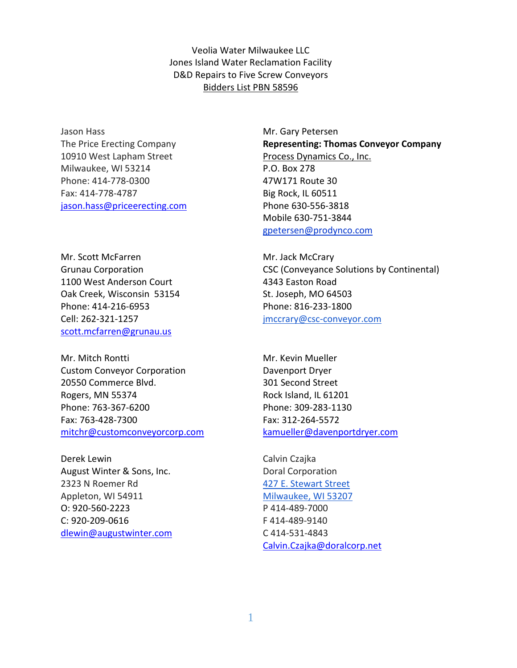Veolia Water Milwaukee LLC Jones Island Water Reclamation Facility D&D Repairs to Five Screw Conveyors Bidders List PBN 58596

Jason Hass The Price Erecting Company 10910 West Lapham Street Milwaukee, WI 53214 Phone: 414-778-0300 Fax: 414-778-4787 jason.hass@priceerecting.com

Mr. Scott McFarren Grunau Corporation 1100 West Anderson Court Oak Creek, Wisconsin 53154 Phone: 414-216-6953 Cell: 262-321-1257 scott.mcfarren@grunau.us

Mr. Mitch Rontti Custom Conveyor Corporation 20550 Commerce Blvd. Rogers, MN 55374 Phone: 763-367-6200 Fax: 763-428-7300 mitchr@customconveyorcorp.com

Derek Lewin August Winter & Sons, Inc. 2323 N Roemer Rd Appleton, WI 54911 O: 920-560-2223 C: 920-209-0616 dlewin@augustwinter.com

Mr. Gary Petersen **Representing: Thomas Conveyor Company**  Process Dynamics Co., Inc. P.O. Box 278 47W171 Route 30 Big Rock, IL 60511 Phone 630-556-3818 Mobile 630-751-3844 gpetersen@prodynco.com

Mr. Jack McCrary CSC (Conveyance Solutions by Continental) 4343 Easton Road St. Joseph, MO 64503 Phone: 816-233-1800 jmccrary@csc-conveyor.com

Mr. Kevin Mueller Davenport Dryer 301 Second Street Rock Island, IL 61201 Phone: 309-283-1130 Fax: 312-264-5572 kamueller@davenportdryer.com

Calvin Czajka Doral Corporation 427 E. Stewart Street Milwaukee, WI 53207 P 414-489-7000 F 414-489-9140 C 414-531-4843 Calvin.Czajka@doralcorp.net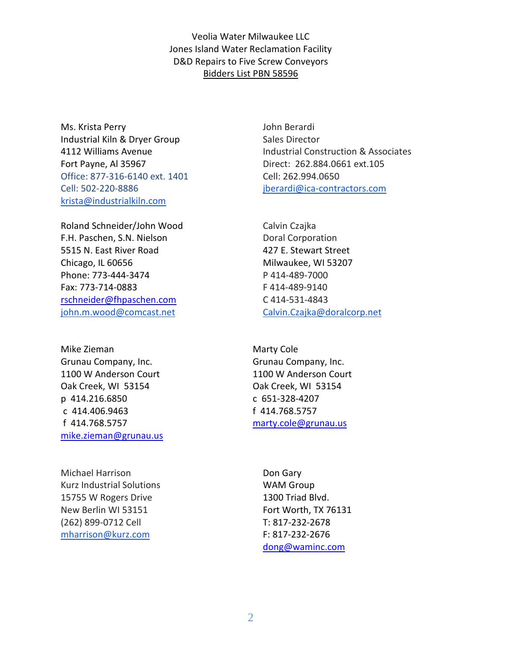Veolia Water Milwaukee LLC Jones Island Water Reclamation Facility D&D Repairs to Five Screw Conveyors Bidders List PBN 58596

Ms. Krista Perry Industrial Kiln & Dryer Group 4112 Williams Avenue Fort Payne, Al 35967 Office: 877-316-6140 ext. 1401 Cell: 502-220-8886 krista@industrialkiln.com

Roland Schneider/John Wood F.H. Paschen, S.N. Nielson 5515 N. East River Road Chicago, IL 60656 Phone: 773-444-3474 Fax: 773-714-0883 rschneider@fhpaschen.com john.m.wood@comcast.net

Mike Zieman Grunau Company, Inc. 1100 W Anderson Court Oak Creek, WI 53154 p 414.216.6850 c 414.406.9463 f 414.768.5757 mike.zieman@grunau.us

Michael Harrison Kurz Industrial Solutions 15755 W Rogers Drive New Berlin WI 53151 (262) 899-0712 Cell mharrison@kurz.com

John Berardi Sales Director Industrial Construction & Associates Direct: 262.884.0661 ext.105 Cell: 262.994.0650 jberardi@ica-contractors.com

Calvin Czajka Doral Corporation 427 E. Stewart Street Milwaukee, WI 53207 P 414-489-7000 F 414-489-9140 C 414-531-4843 Calvin.Czajka@doralcorp.net

Marty Cole Grunau Company, Inc. 1100 W Anderson Court Oak Creek, WI 53154 c 651-328-4207 f 414.768.5757 marty.cole@grunau.us

Don Gary WAM Group 1300 Triad Blvd. Fort Worth, TX 76131 T: 817-232-2678 F: 817-232-2676 dong@waminc.com